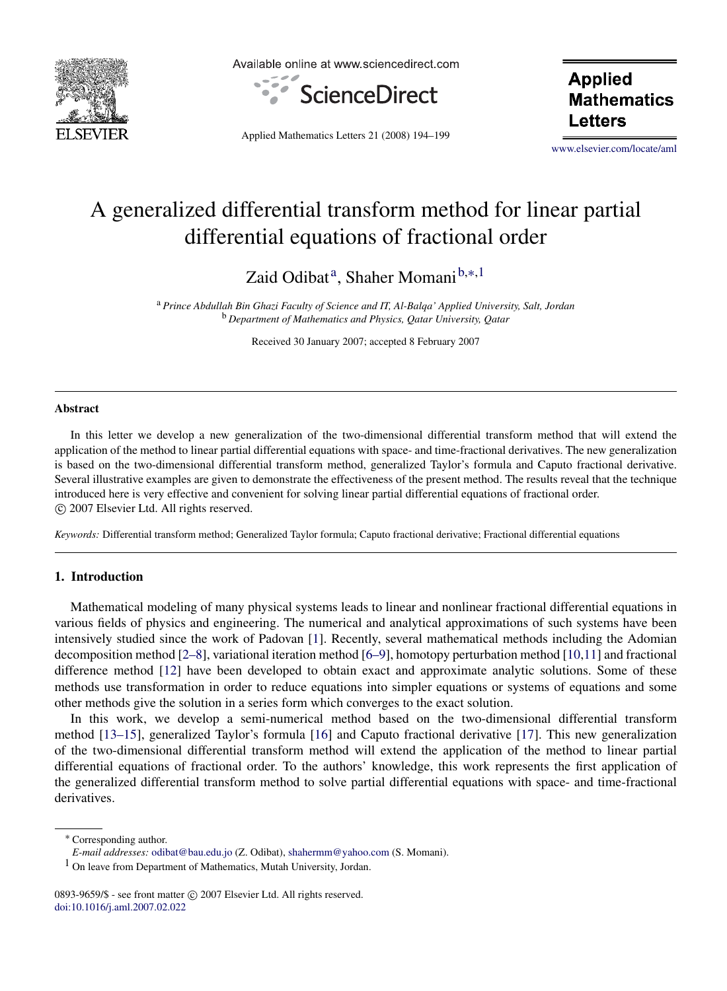

Available online at www.sciencedirect.com



**Applied Mathematics** Letters

Applied Mathematics Letters 21 (2008) 194–199

www.elsevier.com/locate/aml

# A generalized differential transform method for linear partial differential equations of fractional order

Zaid Odibat<sup>a</sup>, Shaher Momani<sup>b,</sup>\*<sup>,1</sup>

<sup>a</sup> *Prince Abdullah Bin Ghazi Faculty of Science and IT, Al-Balqa' Applied University, Salt, Jordan* <sup>b</sup> *Department of Mathematics and Physics, Qatar University, Qatar*

Received 30 January 2007; accepted 8 February 2007

#### Abstract

In this letter we develop a new generalization of the two-dimensional differential transform method that will extend the application of the method to linear partial differential equations with space- and time-fractional derivatives. The new generalization is based on the two-dimensional differential transform method, generalized Taylor's formula and Caputo fractional derivative. Several illustrative examples are given to demonstrate the effectiveness of the present method. The results reveal that the technique introduced here is very effective and convenient for solving linear partial differential equations of fractional order. c 2007 Elsevier Ltd. All rights reserved.

*Keywords:* Differential transform method; Generalized Taylor formula; Caputo fractional derivative; Fractional differential equations

### 1. Introduction

Mathematical modeling of many physical systems leads to linear and nonlinear fractional differential equations in various fields of physics and engineering. The numerical and analytical approximations of such systems have been intensively studied since the work of Padovan [1]. Recently, several mathematical methods including the Adomian decomposition method [2–8], variational iteration method [6–9], homotopy perturbation method [10,11] and fractional difference method [12] have been developed to obtain exact and approximate analytic solutions. Some of these methods use transformation in order to reduce equations into simpler equations or systems of equations and some other methods give the solution in a series form which converges to the exact solution.

In this work, we develop a semi-numerical method based on the two-dimensional differential transform method [13–15], generalized Taylor's formula [16] and Caputo fractional derivative [17]. This new generalization of the two-dimensional differential transform method will extend the application of the method to linear partial differential equations of fractional order. To the authors' knowledge, this work represents the first application of the generalized differential transform method to solve partial differential equations with space- and time-fractional derivatives.

<sup>∗</sup> Corresponding author.

*E-mail addresses:* odibat@bau.edu.jo (Z. Odibat), shahermm@yahoo.com (S. Momani).

<sup>1</sup> On leave from Department of Mathematics, Mutah University, Jordan.

<sup>0893-9659/\$ -</sup> see front matter © 2007 Elsevier Ltd. All rights reserved. doi:10.1016/j.aml.2007.02.022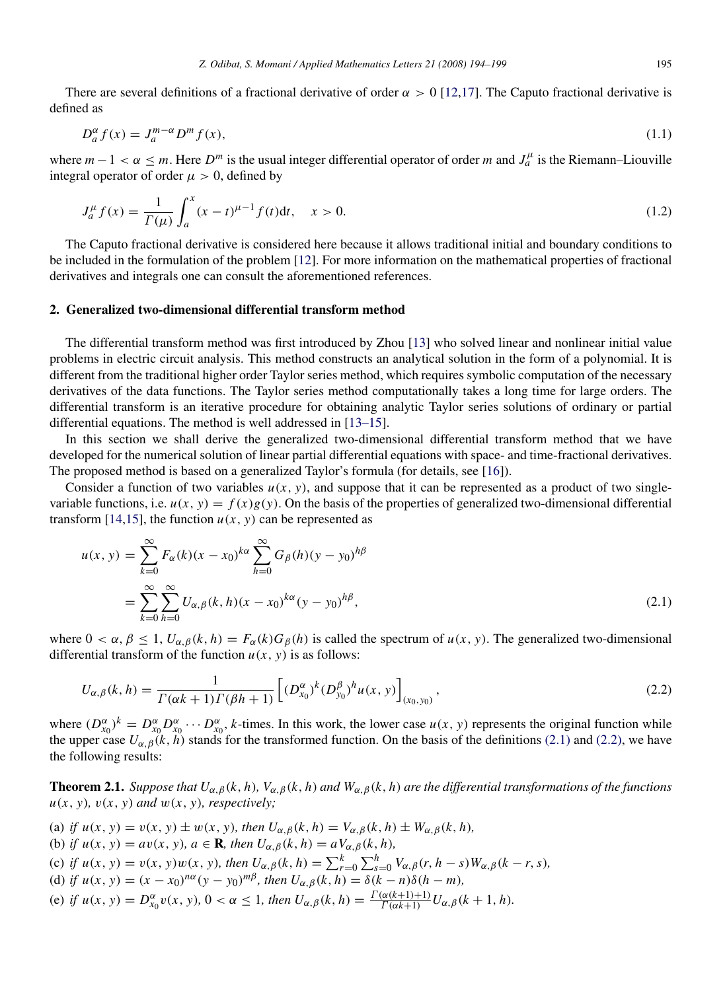There are several definitions of a fractional derivative of order  $\alpha > 0$  [12,17]. The Caputo fractional derivative is defined as

$$
D_a^{\alpha} f(x) = J_a^{m-\alpha} D^m f(x), \qquad (1.1)
$$

where  $m-1 < \alpha \leq m$ . Here  $D^m$  is the usual integer differential operator of order m and  $J_a^{\mu}$  is the Riemann–Liouville integral operator of order  $\mu > 0$ , defined by

$$
J_a^{\mu} f(x) = \frac{1}{\Gamma(\mu)} \int_a^x (x - t)^{\mu - 1} f(t) dt, \quad x > 0.
$$
 (1.2)

The Caputo fractional derivative is considered here because it allows traditional initial and boundary conditions to be included in the formulation of the problem [12]. For more information on the mathematical properties of fractional derivatives and integrals one can consult the aforementioned references.

#### 2. Generalized two-dimensional differential transform method

The differential transform method was first introduced by Zhou [13] who solved linear and nonlinear initial value problems in electric circuit analysis. This method constructs an analytical solution in the form of a polynomial. It is different from the traditional higher order Taylor series method, which requires symbolic computation of the necessary derivatives of the data functions. The Taylor series method computationally takes a long time for large orders. The differential transform is an iterative procedure for obtaining analytic Taylor series solutions of ordinary or partial differential equations. The method is well addressed in [13–15].

In this section we shall derive the generalized two-dimensional differential transform method that we have developed for the numerical solution of linear partial differential equations with space- and time-fractional derivatives. The proposed method is based on a generalized Taylor's formula (for details, see [16]).

Consider a function of two variables  $u(x, y)$ , and suppose that it can be represented as a product of two singlevariable functions, i.e.  $u(x, y) = f(x)g(y)$ . On the basis of the properties of generalized two-dimensional differential transform [14,15], the function  $u(x, y)$  can be represented as

$$
u(x, y) = \sum_{k=0}^{\infty} F_{\alpha}(k)(x - x_0)^{k\alpha} \sum_{h=0}^{\infty} G_{\beta}(h)(y - y_0)^{h\beta}
$$
  
= 
$$
\sum_{k=0}^{\infty} \sum_{h=0}^{\infty} U_{\alpha, \beta}(k, h)(x - x_0)^{k\alpha} (y - y_0)^{h\beta},
$$
 (2.1)

where  $0 < \alpha, \beta \le 1, U_{\alpha,\beta}(k, h) = F_{\alpha}(k)G_{\beta}(h)$  is called the spectrum of  $u(x, y)$ . The generalized two-dimensional differential transform of the function  $u(x, y)$  is as follows:

$$
U_{\alpha,\beta}(k,h) = \frac{1}{\Gamma(\alpha k + 1)\Gamma(\beta h + 1)} \left[ (D_{x_0}^{\alpha})^k (D_{y_0}^{\beta})^h u(x,y) \right]_{(x_0,y_0)},
$$
\n(2.2)

where  $(D_{x_0}^{\alpha})^k = D_{x_0}^{\alpha} D_{x_0}^{\alpha} \cdots D_{x_0}^{\alpha}$ , *k*-times. In this work, the lower case  $u(x, y)$  represents the original function while the upper case  $U_{\alpha,\beta}(k, h)$  stands for the transformed function. On the basis of the definitions (2.1) and (2.2), we have the following results:

**Theorem 2.1.** *Suppose that*  $U_{\alpha,\beta}(k, h)$ *,*  $V_{\alpha,\beta}(k, h)$  *and*  $W_{\alpha,\beta}(k, h)$  *are the differential transformations of the functions*  $u(x, y)$ *,*  $v(x, y)$  *and*  $w(x, y)$ *, respectively;* 

- (a) *if*  $u(x, y) = v(x, y) \pm w(x, y)$ *, then*  $U_{\alpha, \beta}(k, h) = V_{\alpha, \beta}(k, h) \pm W_{\alpha, \beta}(k, h)$ ,
- (b) *if*  $u(x, y) = av(x, y)$ *,*  $a \in \mathbf{R}$ *, then*  $U_{\alpha, \beta}(k, h) = aV_{\alpha, \beta}(k, h)$ *,*

(c) if 
$$
u(x, y) = v(x, y)w(x, y)
$$
, then  $U_{\alpha, \beta}(k, h) = \sum_{r=0}^{k} \sum_{s=0}^{h} V_{\alpha, \beta}(r, h - s)W_{\alpha, \beta}(k - r, s)$ ,

- (d) if  $u(x, y) = (x x_0)^{n\alpha} (y y_0)^{m\beta}$ , then  $U_{\alpha, \beta}(k, h) = \delta(k n)\delta(h m)$ ,
- (e) *if*  $u(x, y) = D_{x_0}^{\alpha} v(x, y), 0 < \alpha \le 1$ , then  $U_{\alpha, \beta}(k, h) = \frac{\Gamma(\alpha(k+1)+1)}{\Gamma(\alpha k+1)}$  $\frac{d\alpha(k+1)+1)}{\Gamma(\alpha k+1)}U_{\alpha,\beta}(k+1,h).$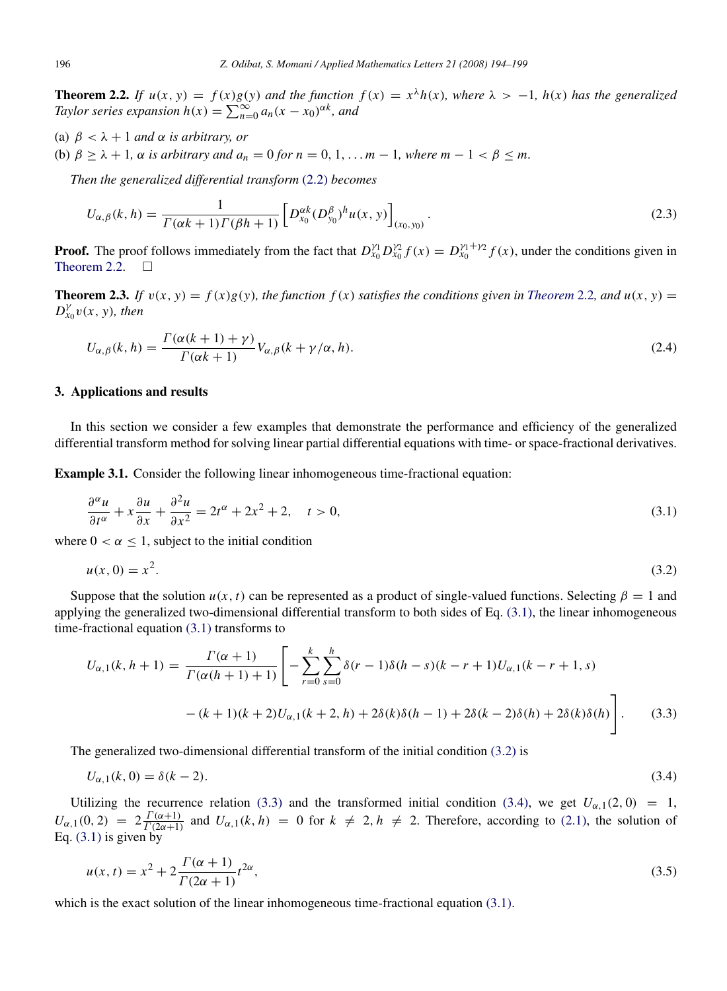**Theorem 2.2.** If  $u(x, y) = f(x)g(y)$  and the function  $f(x) = x^{\lambda}h(x)$ , where  $\lambda > -1$ ,  $h(x)$  has the generalized *Taylor series expansion*  $h(x) = \sum_{n=0}^{\infty} a_n (x - x_0)^{\alpha k}$ , and

- (a)  $\beta < \lambda + 1$  *and*  $\alpha$  *is arbitrary, or*
- (b)  $\beta \geq \lambda + 1$ ,  $\alpha$  *is arbitrary and*  $a_n = 0$  *for*  $n = 0, 1, \ldots m 1$ , where  $m 1 < \beta \leq m$ .

*Then the generalized differential transform* (2.2) *becomes*

$$
U_{\alpha,\beta}(k,h) = \frac{1}{\Gamma(\alpha k + 1)\Gamma(\beta h + 1)} \left[ D_{x_0}^{\alpha k} (D_{y_0}^{\beta})^h u(x,y) \right]_{(x_0,y_0)}.
$$
\n(2.3)

**Proof.** The proof follows immediately from the fact that  $D_{x_0}^{\gamma_1} D_{x_0}^{\gamma_2} f(x) = D_{x_0}^{\gamma_1 + \gamma_2} f(x)$ , under the conditions given in Theorem  $2.2.$   $\Box$ 

**Theorem 2.3.** If  $v(x, y) = f(x)g(y)$ , the function  $f(x)$  satisfies the conditions given in *Theorem* 2.2*, and*  $u(x, y) =$  $D_{x_0}^{\gamma}v(x, y)$ *, then* 

$$
U_{\alpha,\beta}(k,h) = \frac{\Gamma(\alpha(k+1)+\gamma)}{\Gamma(\alpha k+1)} V_{\alpha,\beta}(k+\gamma/\alpha,h).
$$
\n(2.4)

#### 3. Applications and results

In this section we consider a few examples that demonstrate the performance and efficiency of the generalized differential transform method for solving linear partial differential equations with time- or space-fractional derivatives.

Example 3.1. Consider the following linear inhomogeneous time-fractional equation:

$$
\frac{\partial^{\alpha} u}{\partial t^{\alpha}} + x \frac{\partial u}{\partial x} + \frac{\partial^2 u}{\partial x^2} = 2t^{\alpha} + 2x^2 + 2, \quad t > 0,
$$
\n(3.1)

where  $0 < \alpha \leq 1$ , subject to the initial condition

$$
u(x,0) = x^2. \t\t(3.2)
$$

Suppose that the solution  $u(x, t)$  can be represented as a product of single-valued functions. Selecting  $\beta = 1$  and applying the generalized two-dimensional differential transform to both sides of Eq.  $(3.1)$ , the linear inhomogeneous time-fractional equation (3.1) transforms to

$$
U_{\alpha,1}(k, h+1) = \frac{\Gamma(\alpha+1)}{\Gamma(\alpha(h+1)+1)} \left[ -\sum_{r=0}^{k} \sum_{s=0}^{h} \delta(r-1)\delta(h-s)(k-r+1)U_{\alpha,1}(k-r+1, s) - (k+1)(k+2)U_{\alpha,1}(k+2, h) + 2\delta(k)\delta(h-1) + 2\delta(k-2)\delta(h) + 2\delta(k)\delta(h) \right].
$$
 (3.3)

The generalized two-dimensional differential transform of the initial condition (3.2) is

$$
U_{\alpha,1}(k,0) = \delta(k-2). \tag{3.4}
$$

Utilizing the recurrence relation (3.3) and the transformed initial condition (3.4), we get  $U_{\alpha,1}(2,0) = 1$ ,  $U_{\alpha,1}(0,2) = 2 \frac{\Gamma(\alpha+1)}{\Gamma(2\alpha+1)}$  $\frac{T(\alpha+1)}{T(2\alpha+1)}$  and  $U_{\alpha,1}(k, h) = 0$  for  $k \neq 2, h \neq 2$ . Therefore, according to (2.1), the solution of Eq. (3.1) is given by

$$
u(x,t) = x^2 + 2\frac{\Gamma(\alpha+1)}{\Gamma(2\alpha+1)}t^{2\alpha},
$$
\n(3.5)

which is the exact solution of the linear inhomogeneous time-fractional equation (3.1).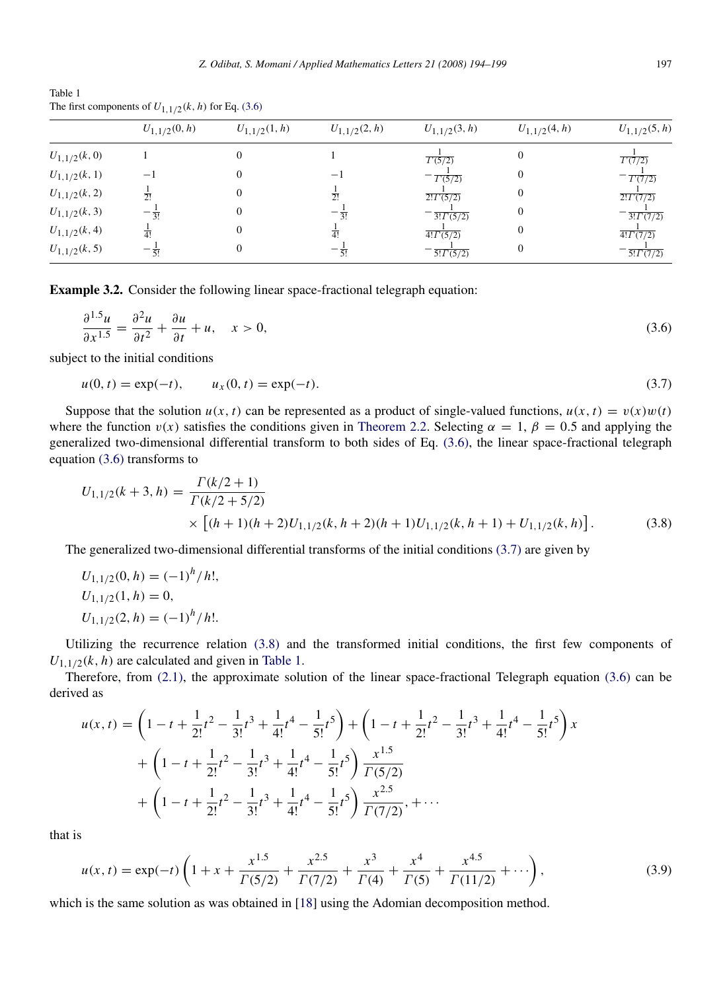Table 1 The first components of  $U_{1,1/2}(k, h)$  for Eq. (3.6)

|                  | $U_{1,1/2}(0,h)$ | $U_{1,1/2}(1,h)$ | $U_{1,1/2}(2,h)$ | $U_{1,1/2}(3,h)$            | $U_{1,1/2}(4,h)$ | $U_{1,1/2}(5,h)$            |
|------------------|------------------|------------------|------------------|-----------------------------|------------------|-----------------------------|
| $U_{1,1/2}(k,0)$ |                  |                  |                  | $\overline{\Gamma(5/2)}$    |                  | $\overline{\Gamma(7/2)}$    |
| $U_{1,1/2}(k,1)$ | $-1$             |                  | —                | T(5/2)                      |                  | T(7/2)                      |
| $U_{1,1/2}(k,2)$ | $\overline{2!}$  |                  | $\overline{2!}$  | $2! \Gamma(5/2)$            |                  | $2! \Gamma(7/2)$            |
| $U_{1,1/2}(k,3)$ | $-\frac{1}{3!}$  |                  | $-\frac{1}{3!}$  | $\overline{3! \Gamma(5/2)}$ |                  | $\frac{1}{3! \Gamma(7/2)}$  |
| $U_{1,1/2}(k,4)$ | $\overline{4!}$  |                  | $\overline{4!}$  | $\overline{4! \Gamma(5/2)}$ |                  | $\overline{4! \Gamma(7/2)}$ |
| $U_{1,1/2}(k,5)$ | $-\frac{1}{5}$   |                  |                  | $\frac{1}{5! \Gamma(5/2)}$  |                  | $\frac{1}{5! \Gamma(7/2)}$  |

Example 3.2. Consider the following linear space-fractional telegraph equation:

$$
\frac{\partial^{1.5} u}{\partial x^{1.5}} = \frac{\partial^2 u}{\partial t^2} + \frac{\partial u}{\partial t} + u, \quad x > 0,
$$
\n(3.6)

subject to the initial conditions

$$
u(0, t) = \exp(-t), \qquad u_x(0, t) = \exp(-t). \tag{3.7}
$$

Suppose that the solution  $u(x, t)$  can be represented as a product of single-valued functions,  $u(x, t) = v(x)w(t)$ where the function  $v(x)$  satisfies the conditions given in Theorem 2.2. Selecting  $\alpha = 1$ ,  $\beta = 0.5$  and applying the generalized two-dimensional differential transform to both sides of Eq. (3.6), the linear space-fractional telegraph equation (3.6) transforms to

$$
U_{1,1/2}(k+3,h) = \frac{\Gamma(k/2+1)}{\Gamma(k/2+5/2)} \times \left[ (h+1)(h+2)U_{1,1/2}(k,h+2)(h+1)U_{1,1/2}(k,h+1) + U_{1,1/2}(k,h) \right].
$$
 (3.8)

The generalized two-dimensional differential transforms of the initial conditions (3.7) are given by

$$
U_{1,1/2}(0, h) = (-1)^{h} / h!,
$$
  
\n
$$
U_{1,1/2}(1, h) = 0,
$$
  
\n
$$
U_{1,1/2}(2, h) = (-1)^{h} / h!.
$$

Utilizing the recurrence relation (3.8) and the transformed initial conditions, the first few components of  $U_{1,1/2}(k, h)$  are calculated and given in Table 1.

Therefore, from (2.1), the approximate solution of the linear space-fractional Telegraph equation (3.6) can be derived as

$$
u(x,t) = \left(1 - t + \frac{1}{2!}t^2 - \frac{1}{3!}t^3 + \frac{1}{4!}t^4 - \frac{1}{5!}t^5\right) + \left(1 - t + \frac{1}{2!}t^2 - \frac{1}{3!}t^3 + \frac{1}{4!}t^4 - \frac{1}{5!}t^5\right)x
$$
  
+ 
$$
\left(1 - t + \frac{1}{2!}t^2 - \frac{1}{3!}t^3 + \frac{1}{4!}t^4 - \frac{1}{5!}t^5\right)\frac{x^{1.5}}{\Gamma(5/2)}
$$
  
+ 
$$
\left(1 - t + \frac{1}{2!}t^2 - \frac{1}{3!}t^3 + \frac{1}{4!}t^4 - \frac{1}{5!}t^5\right)\frac{x^{2.5}}{\Gamma(7/2)}, + \cdots
$$

that is

$$
u(x,t) = \exp(-t)\left(1 + x + \frac{x^{1.5}}{\Gamma(5/2)} + \frac{x^{2.5}}{\Gamma(7/2)} + \frac{x^3}{\Gamma(4)} + \frac{x^4}{\Gamma(5)} + \frac{x^{4.5}}{\Gamma(11/2)} + \cdots\right),\tag{3.9}
$$

which is the same solution as was obtained in [18] using the Adomian decomposition method.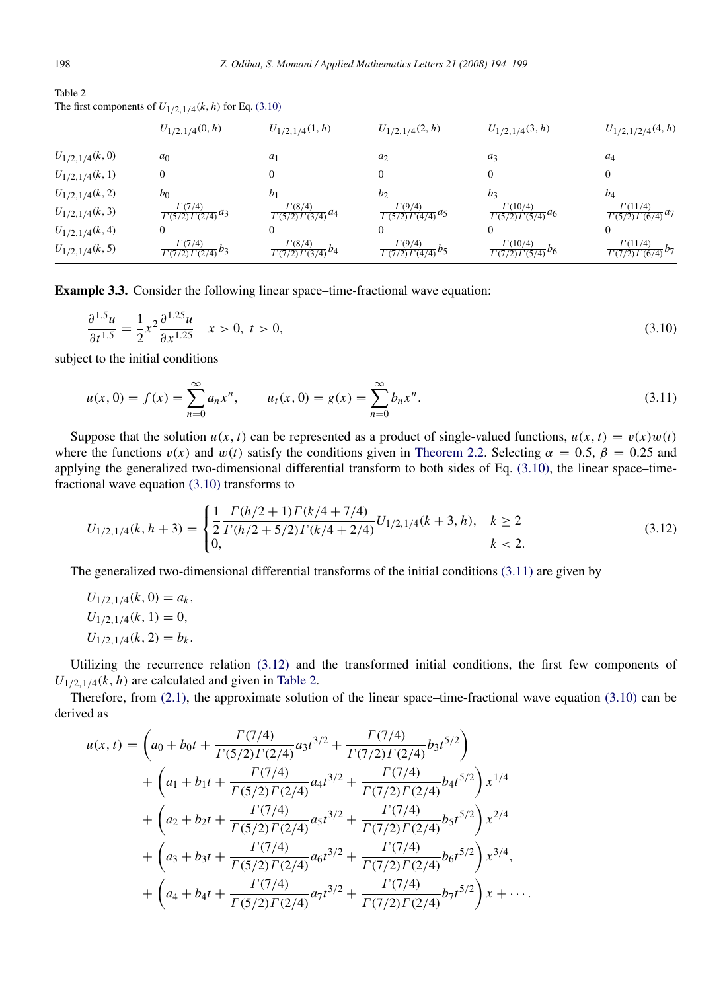| Table 2                                                    |  |  |
|------------------------------------------------------------|--|--|
| The first components of $U_{1/2,1/4}(k, h)$ for Eq. (3.10) |  |  |

|                    | $U_{1/2,1/4}(0,h)$                               | $U_{1/2,1/4}(1,h)$                                     | $U_{1/2,1/4}(2,h)$                                                 | $U_{1/2,1/4}(3,h)$                               | $U_{1/2,1/2/4}(4,h)$                             |
|--------------------|--------------------------------------------------|--------------------------------------------------------|--------------------------------------------------------------------|--------------------------------------------------|--------------------------------------------------|
| $U_{1/2,1/4}(k,0)$ | a <sub>0</sub>                                   | $a_1$                                                  | $a_2$                                                              | $a_3$                                            | $a_4$                                            |
| $U_{1/2,1/4}(k,1)$ | $\mathbf{0}$                                     | $\mathbf{0}$                                           |                                                                    | $\Omega$                                         | $\Omega$                                         |
| $U_{1/2,1/4}(k,2)$ | b <sub>0</sub>                                   | b <sub>1</sub>                                         | $b_2$                                                              | bz                                               | $b_4$                                            |
| $U_{1/2,1/4}(k,3)$ | $\frac{\Gamma(7/4)}{\Gamma(5/2)\Gamma(2/4)} a_3$ | $\Gamma(8/4)$<br>$\frac{1}{\Gamma(5/2)\Gamma(3/4)}a_4$ | $\Gamma(9/4)$<br>$\frac{1}{\Gamma(5/2)} \frac{1}{\Gamma(4/4)} a_5$ | $\frac{\Gamma(10/4)}{\Gamma(5/2)\Gamma(5/4)}a_6$ | $\frac{\Gamma(11/4)}{\Gamma(5/2)\Gamma(6/4)}a_7$ |
| $U_{1/2,1/4}(k,4)$ | 0                                                | $\mathbf{0}$                                           |                                                                    | $\Omega$                                         | $\Omega$                                         |
| $U_{1/2,1/4}(k,5)$ | $\frac{\Gamma(7/4)}{\Gamma(7/2)\Gamma(2/4)}b_3$  | $\frac{\Gamma(8/4)}{\Gamma(7/2)\Gamma(3/4)}b_4$        | $\frac{\Gamma(9/4)}{\Gamma(7/2)\Gamma(4/4)}b_5$                    | $\frac{\Gamma(10/4)}{\Gamma(7/2)\Gamma(5/4)}b_6$ | $\frac{\Gamma(11/4)}{\Gamma(7/2)\Gamma(6/4)}b_7$ |

Example 3.3. Consider the following linear space–time-fractional wave equation:

$$
\frac{\partial^{1.5} u}{\partial t^{1.5}} = \frac{1}{2} x^2 \frac{\partial^{1.25} u}{\partial x^{1.25}} \quad x > 0, \ t > 0,\tag{3.10}
$$

subject to the initial conditions

$$
u(x, 0) = f(x) = \sum_{n=0}^{\infty} a_n x^n, \qquad u_t(x, 0) = g(x) = \sum_{n=0}^{\infty} b_n x^n.
$$
 (3.11)

Suppose that the solution  $u(x, t)$  can be represented as a product of single-valued functions,  $u(x, t) = v(x)w(t)$ where the functions  $v(x)$  and  $w(t)$  satisfy the conditions given in Theorem 2.2. Selecting  $\alpha = 0.5$ ,  $\beta = 0.25$  and applying the generalized two-dimensional differential transform to both sides of Eq. (3.10), the linear space–timefractional wave equation (3.10) transforms to

$$
U_{1/2,1/4}(k,h+3) = \begin{cases} \frac{1}{2} \frac{\Gamma(h/2+1)\Gamma(k/4+7/4)}{\Gamma(h/2+5/2)\Gamma(k/4+2/4)} U_{1/2,1/4}(k+3,h), & k \ge 2\\ 0, & k < 2. \end{cases}
$$
(3.12)

The generalized two-dimensional differential transforms of the initial conditions (3.11) are given by

$$
U_{1/2,1/4}(k, 0) = a_k,
$$
  
\n
$$
U_{1/2,1/4}(k, 1) = 0,
$$
  
\n
$$
U_{1/2,1/4}(k, 2) = b_k.
$$

Utilizing the recurrence relation (3.12) and the transformed initial conditions, the first few components of  $U_{1/2,1/4}(k, h)$  are calculated and given in Table 2.

Therefore, from (2.1), the approximate solution of the linear space–time-fractional wave equation (3.10) can be derived as

$$
u(x,t) = \left(a_0 + b_0t + \frac{\Gamma(7/4)}{\Gamma(5/2)\Gamma(2/4)}a_3t^{3/2} + \frac{\Gamma(7/4)}{\Gamma(7/2)\Gamma(2/4)}b_3t^{5/2}\right) + \left(a_1 + b_1t + \frac{\Gamma(7/4)}{\Gamma(5/2)\Gamma(2/4)}a_4t^{3/2} + \frac{\Gamma(7/4)}{\Gamma(7/2)\Gamma(2/4)}b_4t^{5/2}\right)x^{1/4} + \left(a_2 + b_2t + \frac{\Gamma(7/4)}{\Gamma(5/2)\Gamma(2/4)}a_5t^{3/2} + \frac{\Gamma(7/4)}{\Gamma(7/2)\Gamma(2/4)}b_5t^{5/2}\right)x^{2/4} + \left(a_3 + b_3t + \frac{\Gamma(7/4)}{\Gamma(5/2)\Gamma(2/4)}a_6t^{3/2} + \frac{\Gamma(7/4)}{\Gamma(7/2)\Gamma(2/4)}b_6t^{5/2}\right)x^{3/4}, + \left(a_4 + b_4t + \frac{\Gamma(7/4)}{\Gamma(5/2)\Gamma(2/4)}a_7t^{3/2} + \frac{\Gamma(7/4)}{\Gamma(7/2)\Gamma(2/4)}b_7t^{5/2}\right)x + \cdots
$$